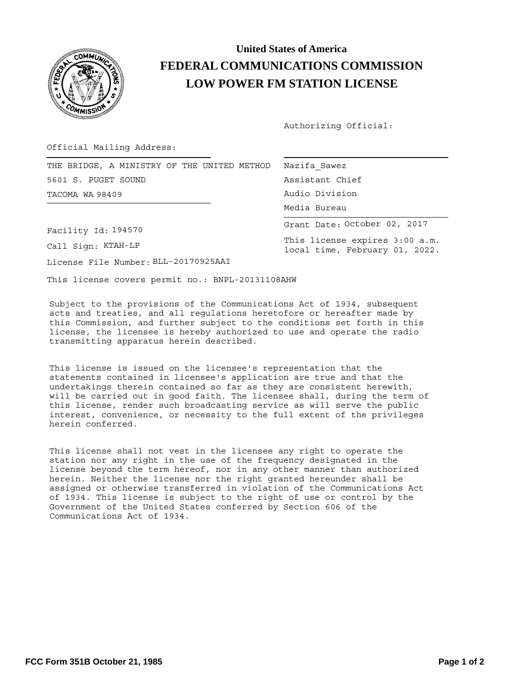

## **LOW POWER FM STATION LICENSE FEDERAL COMMUNICATIONS COMMISSION United States of America**

Authorizing Official:

Official Mailing Address:

|                 |                     |  |  |  |  |  |                | THE BRIDGE, A MINISTRY OF THE UNITED METHOD   Nazifa Sawez |  |
|-----------------|---------------------|--|--|--|--|--|----------------|------------------------------------------------------------|--|
|                 | 5601 S. PUGET SOUND |  |  |  |  |  |                | Assistant Chief                                            |  |
| TACOMA WA 98409 |                     |  |  |  |  |  | Audio Division |                                                            |  |

Facility Id: 194570

Call Sign: KTAH-LP

License File Number: BLL-20170925AAI

This license covers permit no.: BNPL-20131108AHW

Subject to the provisions of the Communications Act of 1934, subsequent acts and treaties, and all regulations heretofore or hereafter made by this Commission, and further subject to the conditions set forth in this license, the licensee is hereby authorized to use and operate the radio transmitting apparatus herein described.

This license is issued on the licensee's representation that the statements contained in licensee's application are true and that the undertakings therein contained so far as they are consistent herewith, will be carried out in good faith. The licensee shall, during the term of this license, render such broadcasting service as will serve the public interest, convenience, or necessity to the full extent of the privileges herein conferred.

This license shall not vest in the licensee any right to operate the station nor any right in the use of the frequency designated in the license beyond the term hereof, nor in any other manner than authorized herein. Neither the license nor the right granted hereunder shall be assigned or otherwise transferred in violation of the Communications Act of 1934. This license is subject to the right of use or control by the Government of the United States conferred by Section 606 of the Communications Act of 1934.

| Nazifa Sawez                 |  |  |  |  |  |  |  |  |  |  |
|------------------------------|--|--|--|--|--|--|--|--|--|--|
| Assistant Chief              |  |  |  |  |  |  |  |  |  |  |
| Audio Division               |  |  |  |  |  |  |  |  |  |  |
| Media Bureau                 |  |  |  |  |  |  |  |  |  |  |
| Grant Date: October 02, 2017 |  |  |  |  |  |  |  |  |  |  |

This license expires 3:00 a.m. local time, February 01, 2022.